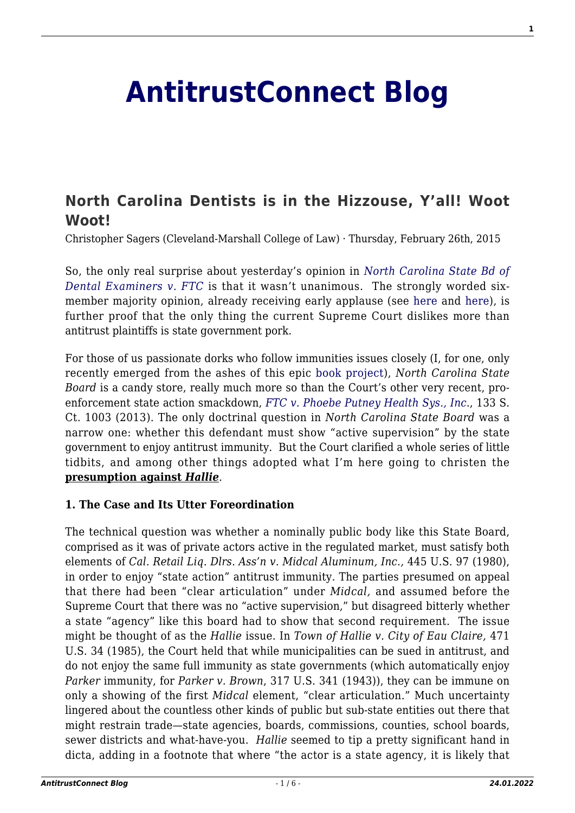# **[AntitrustConnect Blog](http://antitrustconnect.com/)**

# **[North Carolina Dentists is in the Hizzouse, Y'all! Woot](http://antitrustconnect.com/2015/02/26/north-carolina-dentists-is-in-the-hizzouse-yall-woot-woot/) [Woot!](http://antitrustconnect.com/2015/02/26/north-carolina-dentists-is-in-the-hizzouse-yall-woot-woot/)**

Christopher Sagers (Cleveland-Marshall College of Law) · Thursday, February 26th, 2015

So, the only real surprise about yesterday's opinion in *[North Carolina State Bd of](http://www.supremecourt.gov/opinions/14pdf/13-534_19m2.pdf) [Dental Examiners v. FTC](http://www.supremecourt.gov/opinions/14pdf/13-534_19m2.pdf)* is that it wasn't unanimous. The strongly worded sixmember majority opinion, already receiving early applause (see [here](http://www.nytimes.com/2015/02/26/business/justices-find-antitrust-law-valid-against-dental-board.html?ref=us&_r=0) and [here\)](http://www.lawyersgunsmoneyblog.com/2015/02/today-among-benevolent-local-overlords), is further proof that the only thing the current Supreme Court dislikes more than antitrust plaintiffs is state government pork.

For those of us passionate dorks who follow immunities issues closely (I, for one, only recently emerged from the ashes of this epic [book project](http://shop.americanbar.org/eBus/Store/ProductDetails.aspx?productId=185912985)), *North Carolina State Board* is a candy store, really much more so than the Court's other very recent, proenforcement state action smackdown, *[FTC v. Phoebe Putney Health Sys., Inc](http://www.supremecourt.gov/opinions/12pdf/11-1160_1824.pdf)*., 133 S. Ct. 1003 (2013). The only doctrinal question in *North Carolina State Board* was a narrow one: whether this defendant must show "active supervision" by the state government to enjoy antitrust immunity. But the Court clarified a whole series of little tidbits, and among other things adopted what I'm here going to christen the **presumption against** *Hallie.* 

#### **1. The Case and Its Utter Foreordination**

The technical question was whether a nominally public body like this State Board, comprised as it was of private actors active in the regulated market, must satisfy both elements of *Cal. Retail Liq. Dlrs. Ass'n v. Midcal Aluminum, Inc.,* 445 U.S. 97 (1980), in order to enjoy "state action" antitrust immunity. The parties presumed on appeal that there had been "clear articulation" under *Midcal,* and assumed before the Supreme Court that there was no "active supervision," but disagreed bitterly whether a state "agency" like this board had to show that second requirement. The issue might be thought of as the *Hallie* issue. In *Town of Hallie v. City of Eau Claire,* 471 U.S. 34 (1985), the Court held that while municipalities can be sued in antitrust, and do not enjoy the same full immunity as state governments (which automatically enjoy *Parker* immunity, for *Parker v. Brown*, 317 U.S. 341 (1943)), they can be immune on only a showing of the first *Midcal* element, "clear articulation." Much uncertainty lingered about the countless other kinds of public but sub-state entities out there that might restrain trade—state agencies, boards, commissions, counties, school boards, sewer districts and what-have-you. *Hallie* seemed to tip a pretty significant hand in dicta, adding in a footnote that where "the actor is a state agency, it is likely that **1**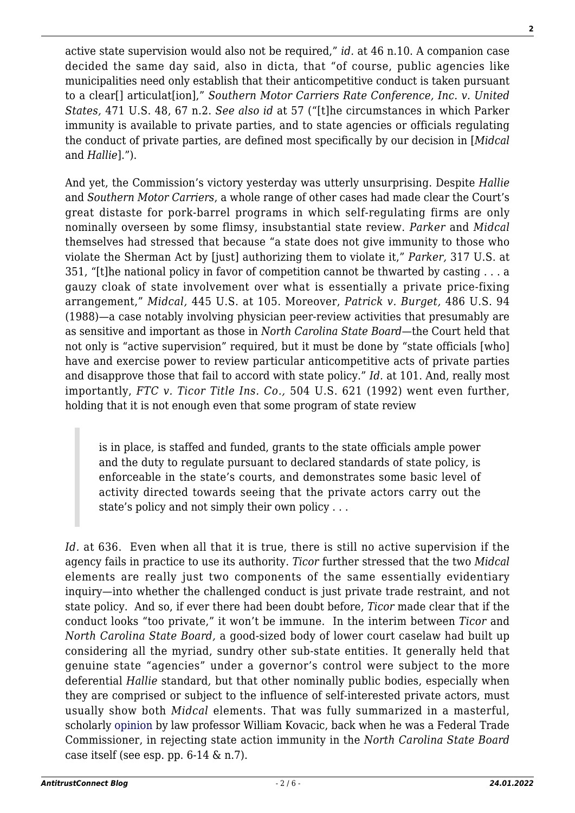active state supervision would also not be required," *id.* at 46 n.10. A companion case decided the same day said, also in dicta, that "of course, public agencies like municipalities need only establish that their anticompetitive conduct is taken pursuant to a clear[] articulat[ion]," *Southern Motor Carriers Rate Conference, Inc. v. United States,* 471 U.S. 48, 67 n.2. *See also id* at 57 ("[t]he circumstances in which Parker immunity is available to private parties, and to state agencies or officials regulating the conduct of private parties, are defined most specifically by our decision in [*Midcal* and *Hallie*].").

And yet, the Commission's victory yesterday was utterly unsurprising. Despite *Hallie* and *Southern Motor Carriers*, a whole range of other cases had made clear the Court's great distaste for pork-barrel programs in which self-regulating firms are only nominally overseen by some flimsy, insubstantial state review. *Parker* and *Midcal* themselves had stressed that because "a state does not give immunity to those who violate the Sherman Act by [just] authorizing them to violate it," *Parker,* 317 U.S. at 351, "[t]he national policy in favor of competition cannot be thwarted by casting . . . a gauzy cloak of state involvement over what is essentially a private price-fixing arrangement," *Midcal,* 445 U.S. at 105. Moreover, *Patrick v. Burget,* 486 U.S. 94 (1988)—a case notably involving physician peer-review activities that presumably are as sensitive and important as those in *North Carolina State Board*—the Court held that not only is "active supervision" required, but it must be done by "state officials [who] have and exercise power to review particular anticompetitive acts of private parties and disapprove those that fail to accord with state policy." *Id.* at 101. And, really most importantly, *FTC v. Ticor Title Ins. Co.,* 504 U.S. 621 (1992) went even further, holding that it is not enough even that some program of state review

is in place, is staffed and funded, grants to the state officials ample power and the duty to regulate pursuant to declared standards of state policy, is enforceable in the state's courts, and demonstrates some basic level of activity directed towards seeing that the private actors carry out the state's policy and not simply their own policy . . .

*Id.* at 636. Even when all that it is true, there is still no active supervision if the agency fails in practice to use its authority. *Ticor* further stressed that the two *Midcal* elements are really just two components of the same essentially evidentiary inquiry—into whether the challenged conduct is just private trade restraint, and not state policy. And so, if ever there had been doubt before, *Ticor* made clear that if the conduct looks "too private," it won't be immune. In the interim between *Ticor* and *North Carolina State Board,* a good-sized body of lower court caselaw had built up considering all the myriad, sundry other sub-state entities. It generally held that genuine state "agencies" under a governor's control were subject to the more deferential *Hallie* standard*,* but that other nominally public bodies, especially when they are comprised or subject to the influence of self-interested private actors, must usually show both *Midcal* elements. That was fully summarized in a masterful, scholarly [opinion](http://www.ftc.gov/sites/default/files/documents/cases/2011/02/110208commopinion.pdf) by law professor William Kovacic, back when he was a Federal Trade Commissioner, in rejecting state action immunity in the *North Carolina State Board* case itself (see esp. pp.  $6-14 \& n.7$ ).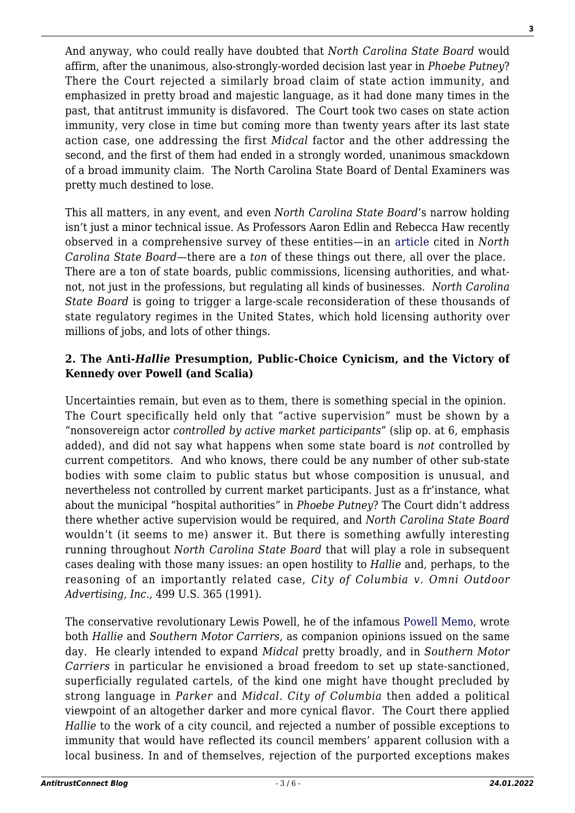And anyway, who could really have doubted that *North Carolina State Board* would affirm, after the unanimous, also-strongly-worded decision last year in *Phoebe Putney*? There the Court rejected a similarly broad claim of state action immunity, and emphasized in pretty broad and majestic language, as it had done many times in the past, that antitrust immunity is disfavored. The Court took two cases on state action immunity, very close in time but coming more than twenty years after its last state action case, one addressing the first *Midcal* factor and the other addressing the second, and the first of them had ended in a strongly worded, unanimous smackdown of a broad immunity claim. The North Carolina State Board of Dental Examiners was pretty much destined to lose.

This all matters, in any event, and even *North Carolina State Board*'s narrow holding isn't just a minor technical issue. As Professors Aaron Edlin and Rebecca Haw recently observed in a comprehensive survey of these entities—in an [article](http://www.pennlawreview.com/print/162-U-Pa-L-Rev-1093.pdf) cited in *North Carolina State Board*—there are a *ton* of these things out there, all over the place. There are a ton of state boards, public commissions, licensing authorities, and whatnot, not just in the professions, but regulating all kinds of businesses. *North Carolina State Board* is going to trigger a large-scale reconsideration of these thousands of state regulatory regimes in the United States, which hold licensing authority over millions of jobs, and lots of other things.

## **2. The Anti-***Hallie* **Presumption, Public-Choice Cynicism, and the Victory of Kennedy over Powell (and Scalia)**

Uncertainties remain, but even as to them, there is something special in the opinion. The Court specifically held only that "active supervision" must be shown by a "nonsovereign actor *controlled by active market participants*" (slip op. at 6, emphasis added), and did not say what happens when some state board is *not* controlled by current competitors. And who knows, there could be any number of other sub-state bodies with some claim to public status but whose composition is unusual, and nevertheless not controlled by current market participants. Just as a fr'instance, what about the municipal "hospital authorities" in *Phoebe Putney*? The Court didn't address there whether active supervision would be required, and *North Carolina State Board* wouldn't (it seems to me) answer it. But there is something awfully interesting running throughout *North Carolina State Board* that will play a role in subsequent cases dealing with those many issues: an open hostility to *Hallie* and, perhaps, to the reasoning of an importantly related case, *City of Columbia v. Omni Outdoor Advertising, Inc.,* 499 U.S. 365 (1991).

The conservative revolutionary Lewis Powell, he of the infamous [Powell Memo](http://law2.wlu.edu/powellarchives/page.asp?pageid=1251), wrote both *Hallie* and *Southern Motor Carriers,* as companion opinions issued on the same day. He clearly intended to expand *Midcal* pretty broadly, and in *Southern Motor Carriers* in particular he envisioned a broad freedom to set up state-sanctioned, superficially regulated cartels, of the kind one might have thought precluded by strong language in *Parker* and *Midcal*. *City of Columbia* then added a political viewpoint of an altogether darker and more cynical flavor. The Court there applied *Hallie* to the work of a city council, and rejected a number of possible exceptions to immunity that would have reflected its council members' apparent collusion with a local business. In and of themselves, rejection of the purported exceptions makes

**3**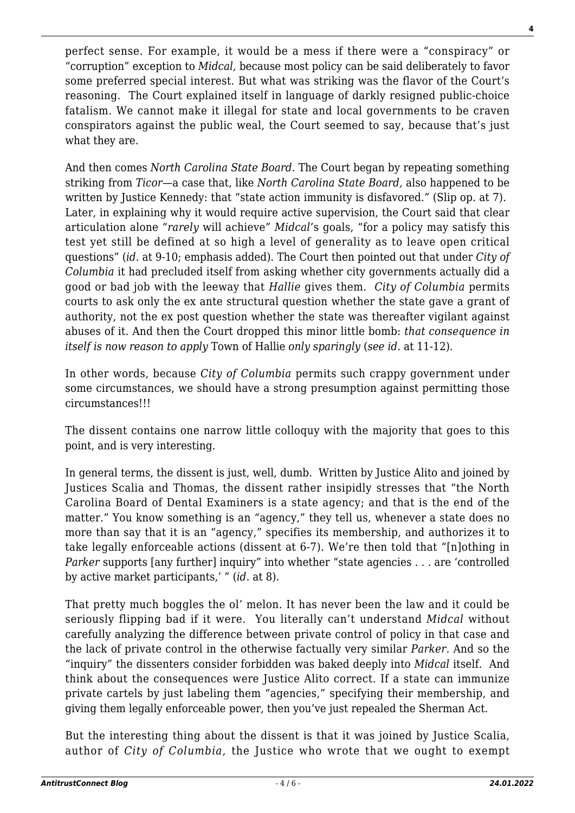perfect sense. For example, it would be a mess if there were a "conspiracy" or "corruption" exception to *Midcal,* because most policy can be said deliberately to favor some preferred special interest. But what was striking was the flavor of the Court's reasoning. The Court explained itself in language of darkly resigned public-choice fatalism. We cannot make it illegal for state and local governments to be craven conspirators against the public weal, the Court seemed to say, because that's just what they are.

And then comes *North Carolina State Board.* The Court began by repeating something striking from *Ticor*—a case that, like *North Carolina State Board,* also happened to be written by Justice Kennedy: that "state action immunity is disfavored." (Slip op. at 7). Later, in explaining why it would require active supervision, the Court said that clear articulation alone "*rarely* will achieve" *Midcal*'s goals, "for a policy may satisfy this test yet still be defined at so high a level of generality as to leave open critical questions" (*id.* at 9-10; emphasis added). The Court then pointed out that under *City of Columbia* it had precluded itself from asking whether city governments actually did a good or bad job with the leeway that *Hallie* gives them. *City of Columbia* permits courts to ask only the ex ante structural question whether the state gave a grant of authority, not the ex post question whether the state was thereafter vigilant against abuses of it. And then the Court dropped this minor little bomb: *that consequence in itself is now reason to apply* Town of Hallie *only sparingly* (*see id.* at 11-12).

In other words, because *City of Columbia* permits such crappy government under some circumstances, we should have a strong presumption against permitting those circumstances!!!

The dissent contains one narrow little colloquy with the majority that goes to this point, and is very interesting.

In general terms, the dissent is just, well, dumb. Written by Justice Alito and joined by Justices Scalia and Thomas, the dissent rather insipidly stresses that "the North Carolina Board of Dental Examiners is a state agency; and that is the end of the matter." You know something is an "agency," they tell us, whenever a state does no more than say that it is an "agency," specifies its membership, and authorizes it to take legally enforceable actions (dissent at 6-7). We're then told that "[n]othing in *Parker* supports [any further] inquiry" into whether "state agencies . . . are 'controlled by active market participants,' " (*id.* at 8).

That pretty much boggles the ol' melon. It has never been the law and it could be seriously flipping bad if it were. You literally can't understand *Midcal* without carefully analyzing the difference between private control of policy in that case and the lack of private control in the otherwise factually very similar *Parker.* And so the "inquiry" the dissenters consider forbidden was baked deeply into *Midcal* itself. And think about the consequences were Justice Alito correct. If a state can immunize private cartels by just labeling them "agencies," specifying their membership, and giving them legally enforceable power, then you've just repealed the Sherman Act.

But the interesting thing about the dissent is that it was joined by Justice Scalia, author of *City of Columbia*, the Justice who wrote that we ought to exempt **4**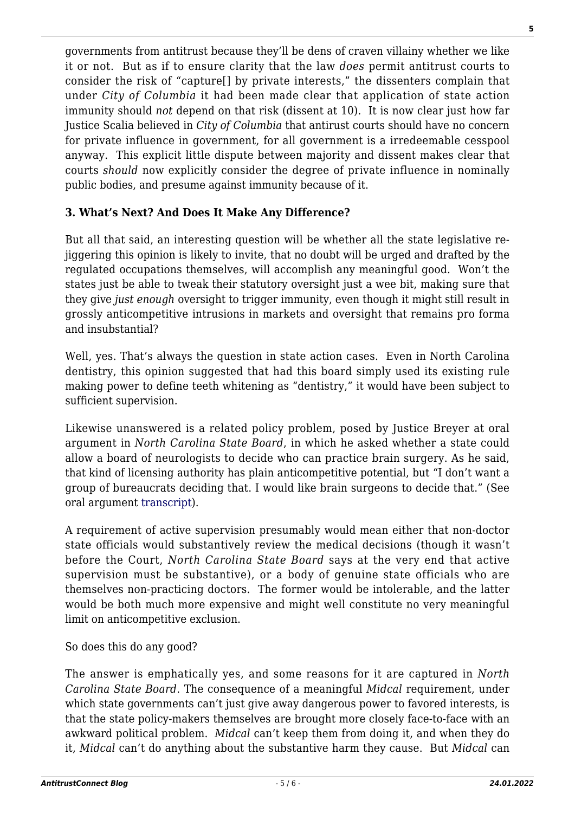governments from antitrust because they'll be dens of craven villainy whether we like it or not. But as if to ensure clarity that the law *does* permit antitrust courts to consider the risk of "capture[] by private interests," the dissenters complain that under *City of Columbia* it had been made clear that application of state action immunity should *not* depend on that risk (dissent at 10). It is now clear just how far Justice Scalia believed in *City of Columbia* that antirust courts should have no concern for private influence in government, for all government is a irredeemable cesspool anyway. This explicit little dispute between majority and dissent makes clear that courts *should* now explicitly consider the degree of private influence in nominally public bodies, and presume against immunity because of it.

## **3. What's Next? And Does It Make Any Difference?**

But all that said, an interesting question will be whether all the state legislative rejiggering this opinion is likely to invite, that no doubt will be urged and drafted by the regulated occupations themselves, will accomplish any meaningful good. Won't the states just be able to tweak their statutory oversight just a wee bit, making sure that they give *just enough* oversight to trigger immunity, even though it might still result in grossly anticompetitive intrusions in markets and oversight that remains pro forma and insubstantial?

Well, yes. That's always the question in state action cases. Even in North Carolina dentistry, this opinion suggested that had this board simply used its existing rule making power to define teeth whitening as "dentistry," it would have been subject to sufficient supervision.

Likewise unanswered is a related policy problem, posed by Justice Breyer at oral argument in *North Carolina State Board*, in which he asked whether a state could allow a board of neurologists to decide who can practice brain surgery. As he said, that kind of licensing authority has plain anticompetitive potential, but "I don't want a group of bureaucrats deciding that. I would like brain surgeons to decide that." (See oral argument [transcript\)](http://www.supremecourt.gov/oral_arguments/argument_transcripts/13-534_8nj9.pdf).

A requirement of active supervision presumably would mean either that non-doctor state officials would substantively review the medical decisions (though it wasn't before the Court, *North Carolina State Board* says at the very end that active supervision must be substantive), or a body of genuine state officials who are themselves non-practicing doctors. The former would be intolerable, and the latter would be both much more expensive and might well constitute no very meaningful limit on anticompetitive exclusion.

So does this do any good?

The answer is emphatically yes, and some reasons for it are captured in *North Carolina State Board*. The consequence of a meaningful *Midcal* requirement, under which state governments can't just give away dangerous power to favored interests, is that the state policy-makers themselves are brought more closely face-to-face with an awkward political problem. *Midcal* can't keep them from doing it, and when they do it, *Midcal* can't do anything about the substantive harm they cause. But *Midcal* can